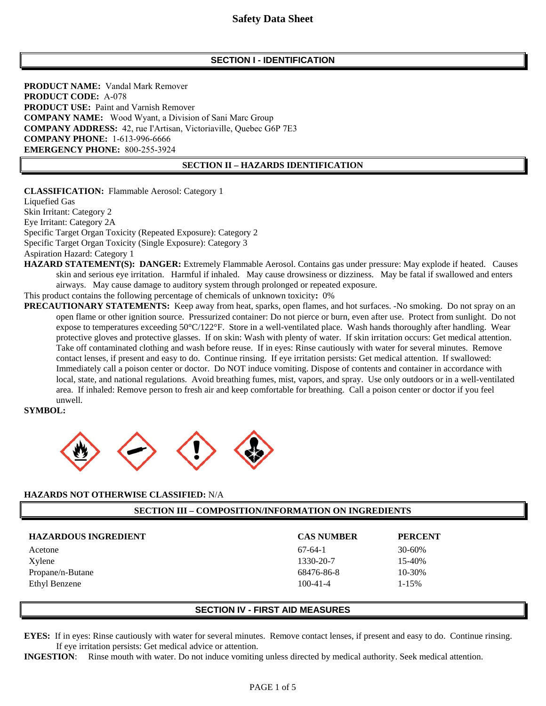### **SECTION I - IDENTIFICATION**

**PRODUCT NAME:** Vandal Mark Remover **PRODUCT CODE:** A-078 **PRODUCT USE:** Paint and Varnish Remover **COMPANY NAME:** Wood Wyant, a Division of Sani Marc Group **COMPANY ADDRESS:** 42, rue I'Artisan, Victoriaville, Quebec G6P 7E3 **COMPANY PHONE:** 1-613-996-6666 **EMERGENCY PHONE:** 800-255-3924

#### **SECTION II – HAZARDS IDENTIFICATION**

**CLASSIFICATION:** Flammable Aerosol: Category 1 Liquefied Gas Skin Irritant: Category 2 Eye Irritant: Category 2A Specific Target Organ Toxicity (Repeated Exposure): Category 2 Specific Target Organ Toxicity (Single Exposure): Category 3 Aspiration Hazard: Category 1

**HAZARD STATEMENT(S): DANGER:** Extremely Flammable Aerosol. Contains gas under pressure: May explode if heated. Causes skin and serious eye irritation. Harmful if inhaled. May cause drowsiness or dizziness. May be fatal if swallowed and enters airways. May cause damage to auditory system through prolonged or repeated exposure.

This product contains the following percentage of chemicals of unknown toxicity**:** 0%

**PRECAUTIONARY STATEMENTS:** Keep away from heat, sparks, open flames, and hot surfaces. -No smoking. Do not spray on an open flame or other ignition source. Pressurized container: Do not pierce or burn, even after use. Protect from sunlight. Do not expose to temperatures exceeding 50°C/122°F. Store in a well-ventilated place. Wash hands thoroughly after handling. Wear protective gloves and protective glasses. If on skin: Wash with plenty of water. If skin irritation occurs: Get medical attention. Take off contaminated clothing and wash before reuse. If in eyes: Rinse cautiously with water for several minutes. Remove contact lenses, if present and easy to do. Continue rinsing. If eye irritation persists: Get medical attention. If swallowed: Immediately call a poison center or doctor. Do NOT induce vomiting. Dispose of contents and container in accordance with local, state, and national regulations. Avoid breathing fumes, mist, vapors, and spray. Use only outdoors or in a well-ventilated area. If inhaled: Remove person to fresh air and keep comfortable for breathing. Call a poison center or doctor if you feel unwell.

#### **SYMBOL:**



#### **HAZARDS NOT OTHERWISE CLASSIFIED:** N/A

#### **SECTION III – COMPOSITION/INFORMATION ON INGREDIENTS**

| <b>HAZARDOUS INGREDIENT</b> | <b>CAS NUMBER</b> | <b>PERCENT</b> |
|-----------------------------|-------------------|----------------|
| Acetone                     | $67-64-1$         | $30 - 60%$     |
| Xylene                      | 1330-20-7         | 15-40%         |
| Propane/n-Butane            | 68476-86-8        | 10-30%         |
| Ethyl Benzene               | $100 - 41 - 4$    | $1 - 15%$      |

#### **SECTION IV - FIRST AID MEASURES**

**EYES:** If in eyes: Rinse cautiously with water for several minutes. Remove contact lenses, if present and easy to do. Continue rinsing. If eye irritation persists: Get medical advice or attention.

**INGESTION**: Rinse mouth with water. Do not induce vomiting unless directed by medical authority. Seek medical attention.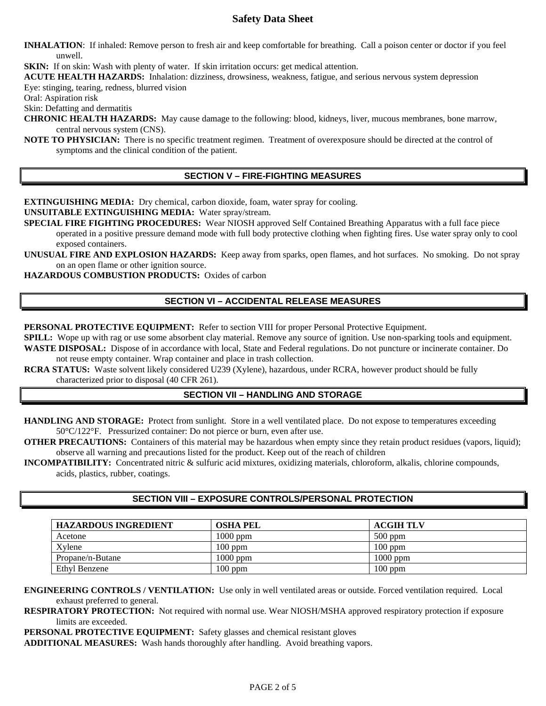**INHALATION**:If inhaled: Remove person to fresh air and keep comfortable for breathing. Call a poison center or doctor if you feel unwell.

**SKIN:** If on skin: Wash with plenty of water. If skin irritation occurs: get medical attention.

**ACUTE HEALTH HAZARDS:** Inhalation: dizziness, drowsiness, weakness, fatigue, and serious nervous system depression Eye: stinging, tearing, redness, blurred vision

Oral: Aspiration risk

Skin: Defatting and dermatitis

**CHRONIC HEALTH HAZARDS:** May cause damage to the following: blood, kidneys, liver, mucous membranes, bone marrow, central nervous system (CNS).

**NOTE TO PHYSICIAN:** There is no specific treatment regimen. Treatment of overexposure should be directed at the control of symptoms and the clinical condition of the patient.

## **SECTION V – FIRE-FIGHTING MEASURES**

**EXTINGUISHING MEDIA:** Dry chemical, carbon dioxide, foam, water spray for cooling.

#### **UNSUITABLE EXTINGUISHING MEDIA:** Water spray/stream.

**SPECIAL FIRE FIGHTING PROCEDURES:** Wear NIOSH approved Self Contained Breathing Apparatus with a full face piece operated in a positive pressure demand mode with full body protective clothing when fighting fires. Use water spray only to cool exposed containers.

**UNUSUAL FIRE AND EXPLOSION HAZARDS:** Keep away from sparks, open flames, and hot surfaces. No smoking. Do not spray on an open flame or other ignition source.

**HAZARDOUS COMBUSTION PRODUCTS:** Oxides of carbon

### **SECTION VI – ACCIDENTAL RELEASE MEASURES**

**PERSONAL PROTECTIVE EQUIPMENT:** Refer to section VIII for proper Personal Protective Equipment.

**SPILL:** Wope up with rag or use some absorbent clay material. Remove any source of ignition. Use non-sparking tools and equipment. **WASTE DISPOSAL:** Dispose of in accordance with local, State and Federal regulations. Do not puncture or incinerate container. Do not reuse empty container. Wrap container and place in trash collection.

**RCRA STATUS:** Waste solvent likely considered U239 (Xylene), hazardous, under RCRA, however product should be fully characterized prior to disposal (40 CFR 261).

### **SECTION VII – HANDLING AND STORAGE**

**HANDLING AND STORAGE:** Protect from sunlight. Store in a well ventilated place. Do not expose to temperatures exceeding 50°C/122°F. Pressurized container: Do not pierce or burn, even after use.

**OTHER PRECAUTIONS:** Containers of this material may be hazardous when empty since they retain product residues (vapors, liquid); observe all warning and precautions listed for the product. Keep out of the reach of children

**INCOMPATIBILITY:** Concentrated nitric & sulfuric acid mixtures, oxidizing materials, chloroform, alkalis, chlorine compounds, acids, plastics, rubber, coatings.

## **SECTION VIII – EXPOSURE CONTROLS/PERSONAL PROTECTION**

| <b>HAZARDOUS INGREDIENT</b> | <b>OSHA PEL</b> | <b>ACGIH TLV</b> |
|-----------------------------|-----------------|------------------|
| Acetone                     | $1000$ ppm      | $500$ ppm        |
| Xylene                      | $100$ ppm       | $100$ ppm        |
| Propane/n-Butane            | $1000$ ppm      | 1000 ppm         |
| Ethyl Benzene               | $100$ ppm       | $100$ ppm        |

**ENGINEERING CONTROLS / VENTILATION:** Use only in well ventilated areas or outside. Forced ventilation required. Local exhaust preferred to general.

**RESPIRATORY PROTECTION:** Not required with normal use. Wear NIOSH/MSHA approved respiratory protection if exposure limits are exceeded.

**PERSONAL PROTECTIVE EQUIPMENT:** Safety glasses and chemical resistant gloves

**ADDITIONAL MEASURES:** Wash hands thoroughly after handling. Avoid breathing vapors.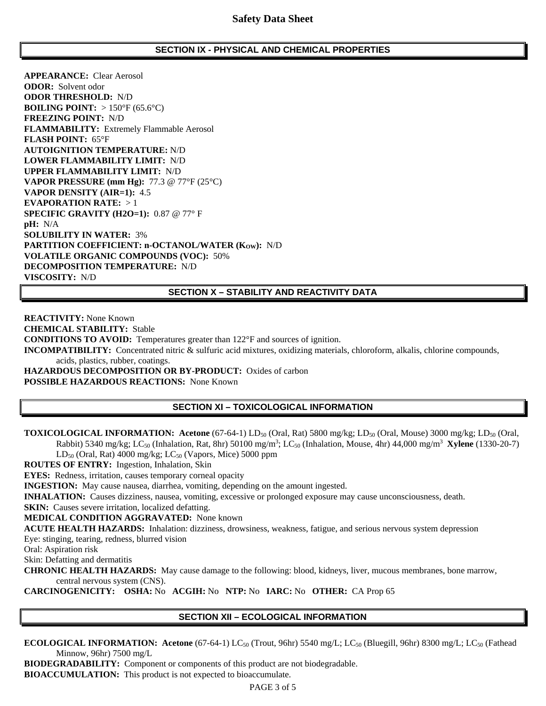#### **SECTION IX - PHYSICAL AND CHEMICAL PROPERTIES**

**APPEARANCE:** Clear Aerosol **ODOR:** Solvent odor **ODOR THRESHOLD:** N/D **BOILING POINT:** > 150°F (65.6°C) **FREEZING POINT:** N/D **FLAMMABILITY:** Extremely Flammable Aerosol **FLASH POINT:** 65°F **AUTOIGNITION TEMPERATURE:** N/D **LOWER FLAMMABILITY LIMIT:** N/D **UPPER FLAMMABILITY LIMIT:** N/D **VAPOR PRESSURE (mm Hg):** 77.3 @ 77°F (25°C) **VAPOR DENSITY (AIR=1):** 4.5 **EVAPORATION RATE:** > 1 **SPECIFIC GRAVITY (H2O=1):** 0.87 @ 77° F **pH:** N/A **SOLUBILITY IN WATER:** 3% PARTITION COEFFICIENT: n-OCTANOL/WATER (Kow): N/D **VOLATILE ORGANIC COMPOUNDS (VOC):** 50% **DECOMPOSITION TEMPERATURE:** N/D **VISCOSITY:** N/D

### **SECTION X – STABILITY AND REACTIVITY DATA**

**REACTIVITY:** None Known **CHEMICAL STABILITY:** Stable **CONDITIONS TO AVOID:** Temperatures greater than 122°F and sources of ignition. **INCOMPATIBILITY:** Concentrated nitric & sulfuric acid mixtures, oxidizing materials, chloroform, alkalis, chlorine compounds, acids, plastics, rubber, coatings. **HAZARDOUS DECOMPOSITION OR BY-PRODUCT:** Oxides of carbon **POSSIBLE HAZARDOUS REACTIONS:** None Known

## **SECTION XI – TOXICOLOGICAL INFORMATION**

**TOXICOLOGICAL INFORMATION:** Acetone (67-64-1) LD<sub>50</sub> (Oral, Rat) 5800 mg/kg; LD<sub>50</sub> (Oral, Mouse) 3000 mg/kg; LD<sub>50</sub> (Oral, Rabbit) 5340 mg/kg; LC50 (Inhalation, Rat, 8hr) 50100 mg/m3 ; LC50 (Inhalation, Mouse, 4hr) 44,000 mg/m3 **Xylene** (1330-20-7)  $LD_{50}$  (Oral, Rat) 4000 mg/kg;  $LC_{50}$  (Vapors, Mice) 5000 ppm

**ROUTES OF ENTRY:** Ingestion, Inhalation, Skin

**EYES:** Redness, irritation, causes temporary corneal opacity

**INGESTION:** May cause nausea, diarrhea, vomiting, depending on the amount ingested.

**INHALATION:** Causes dizziness, nausea, vomiting, excessive or prolonged exposure may cause unconsciousness, death.

**SKIN:** Causes severe irritation, localized defatting.

**MEDICAL CONDITION AGGRAVATED:** None known

**ACUTE HEALTH HAZARDS:** Inhalation: dizziness, drowsiness, weakness, fatigue, and serious nervous system depression

Eye: stinging, tearing, redness, blurred vision

Oral: Aspiration risk

Skin: Defatting and dermatitis

**CHRONIC HEALTH HAZARDS:** May cause damage to the following: blood, kidneys, liver, mucous membranes, bone marrow, central nervous system (CNS).

**CARCINOGENICITY: OSHA:** No **ACGIH:** No **NTP:** No **IARC:** No **OTHER:** CA Prop 65

### **SECTION XII – ECOLOGICAL INFORMATION**

**ECOLOGICAL INFORMATION: Acetone** (67-64-1) LC<sub>50</sub> (Trout, 96hr) 5540 mg/L; LC<sub>50</sub> (Bluegill, 96hr) 8300 mg/L; LC<sub>50</sub> (Fathead Minnow, 96hr) 7500 mg/L

**BIODEGRADABILITY:** Component or components of this product are not biodegradable.

**BIOACCUMULATION:** This product is not expected to bioaccumulate.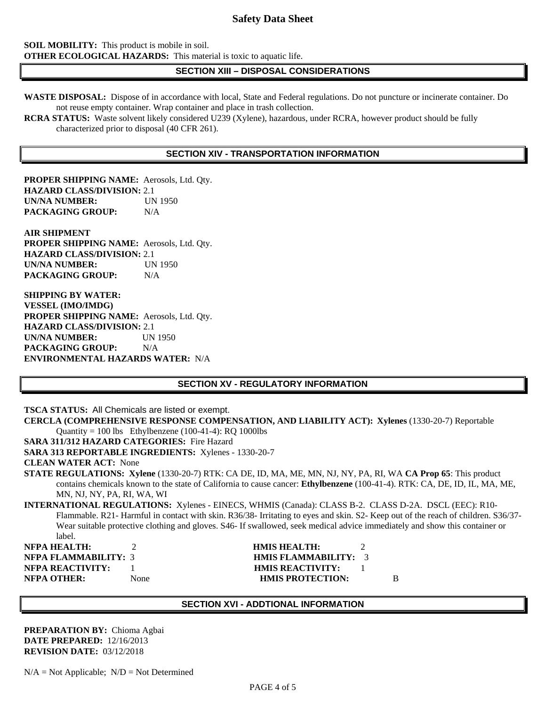**SOIL MOBILITY:** This product is mobile in soil. **OTHER ECOLOGICAL HAZARDS:** This material is toxic to aquatic life.

### **SECTION XIII – DISPOSAL CONSIDERATIONS**

**WASTE DISPOSAL:** Dispose of in accordance with local, State and Federal regulations. Do not puncture or incinerate container. Do not reuse empty container. Wrap container and place in trash collection.

**RCRA STATUS:** Waste solvent likely considered U239 (Xylene), hazardous, under RCRA, however product should be fully characterized prior to disposal (40 CFR 261).

#### **SECTION XIV - TRANSPORTATION INFORMATION**

**PROPER SHIPPING NAME:** Aerosols, Ltd. Qty. **HAZARD CLASS/DIVISION:** 2.1 **UN/NA NUMBER:** UN 1950 **PACKAGING GROUP:** N/A

**AIR SHIPMENT PROPER SHIPPING NAME:** Aerosols, Ltd. Qty. **HAZARD CLASS/DIVISION:** 2.1 **UN/NA NUMBER:** UN 1950 **PACKAGING GROUP:** N/A

**SHIPPING BY WATER: VESSEL (IMO/IMDG) PROPER SHIPPING NAME:** Aerosols, Ltd. Qty. **HAZARD CLASS/DIVISION:** 2.1 **UN/NA NUMBER:** UN 1950 **PACKAGING GROUP:** N/A **ENVIRONMENTAL HAZARDS WATER:** N/A

### **SECTION XV - REGULATORY INFORMATION**

**TSCA STATUS:** All Chemicals are listed or exempt.

**CERCLA (COMPREHENSIVE RESPONSE COMPENSATION, AND LIABILITY ACT): Xylenes** (1330-20-7) Reportable Quantity = 100 lbs Ethylbenzene (100-41-4): RQ 1000lbs

**SARA 311/312 HAZARD CATEGORIES:** Fire Hazard

**SARA 313 REPORTABLE INGREDIENTS:** Xylenes - 1330-20-7

**CLEAN WATER ACT:** None

**STATE REGULATIONS: Xylene** (1330-20-7) RTK: CA DE, ID, MA, ME, MN, NJ, NY, PA, RI, WA **CA Prop 65**: This product contains chemicals known to the state of California to cause cancer: **Ethylbenzene** (100-41-4). RTK: CA, DE, ID, IL, MA, ME, MN, NJ, NY, PA, RI, WA, WI

**INTERNATIONAL REGULATIONS:** Xylenes - EINECS, WHMIS (Canada): CLASS B-2. CLASS D-2A. DSCL (EEC): R10- Flammable. R21- Harmful in contact with skin. R36/38- Irritating to eyes and skin. S2- Keep out of the reach of children. S36/37- Wear suitable protective clothing and gloves. S46- If swallowed, seek medical advice immediately and show this container or label.

**NFPA HEALTH:** 2 **HMIS HEALTH:** 2 **NFPA FLAMMABILITY:** 3 **HMIS FLAMMABILITY:** 3 **NFPA REACTIVITY:** 1 **HMIS REACTIVITY:** 1 **NFPA OTHER:** None **HMIS PROTECTION:** B

# **SECTION XVI - ADDTIONAL INFORMATION**

**PREPARATION BY:** Chioma Agbai **DATE PREPARED:** 12/16/2013 **REVISION DATE:** 03/12/2018

 $N/A = Not Applicable; N/D = Not Determined$